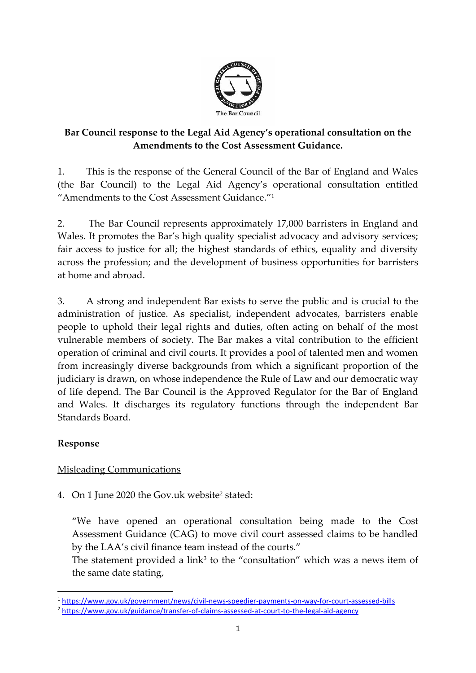

# **Bar Council response to the Legal Aid Agency's operational consultation on the Amendments to the Cost Assessment Guidance.**

1. This is the response of the General Council of the Bar of England and Wales (the Bar Council) to the Legal Aid Agency's operational consultation entitled "Amendments to the Cost Assessment Guidance."<sup>1</sup>

2. The Bar Council represents approximately 17,000 barristers in England and Wales. It promotes the Bar's high quality specialist advocacy and advisory services; fair access to justice for all; the highest standards of ethics, equality and diversity across the profession; and the development of business opportunities for barristers at home and abroad.

3. A strong and independent Bar exists to serve the public and is crucial to the administration of justice. As specialist, independent advocates, barristers enable people to uphold their legal rights and duties, often acting on behalf of the most vulnerable members of society. The Bar makes a vital contribution to the efficient operation of criminal and civil courts. It provides a pool of talented men and women from increasingly diverse backgrounds from which a significant proportion of the judiciary is drawn, on whose independence the Rule of Law and our democratic way of life depend. The Bar Council is the Approved Regulator for the Bar of England and Wales. It discharges its regulatory functions through the independent Bar Standards Board.

## **Response**

## Misleading Communications

4. On 1 June 2020 the Gov.uk website<sup>2</sup> stated:

"We have opened an operational consultation being made to the Cost Assessment Guidance (CAG) to move civil court assessed claims to be handled by the LAA's civil finance team instead of the courts."

The statement provided a link<sup>3</sup> to the "consultation" which was a news item of the same date stating,

<sup>1</sup> <https://www.gov.uk/government/news/civil-news-speedier-payments-on-way-for-court-assessed-bills>

<sup>2</sup> <https://www.gov.uk/guidance/transfer-of-claims-assessed-at-court-to-the-legal-aid-agency>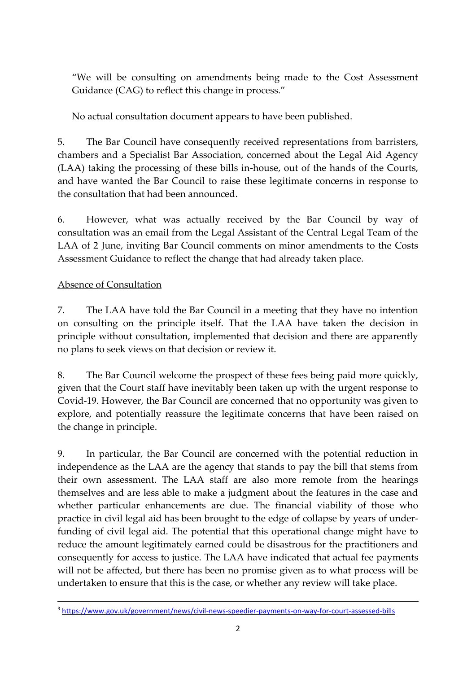"We will be consulting on amendments being made to the Cost Assessment Guidance (CAG) to reflect this change in process."

No actual consultation document appears to have been published.

5. The Bar Council have consequently received representations from barristers, chambers and a Specialist Bar Association, concerned about the Legal Aid Agency (LAA) taking the processing of these bills in-house, out of the hands of the Courts, and have wanted the Bar Council to raise these legitimate concerns in response to the consultation that had been announced.

6. However, what was actually received by the Bar Council by way of consultation was an email from the Legal Assistant of the Central Legal Team of the LAA of 2 June, inviting Bar Council comments on minor amendments to the Costs Assessment Guidance to reflect the change that had already taken place.

## Absence of Consultation

7. The LAA have told the Bar Council in a meeting that they have no intention on consulting on the principle itself. That the LAA have taken the decision in principle without consultation, implemented that decision and there are apparently no plans to seek views on that decision or review it.

8. The Bar Council welcome the prospect of these fees being paid more quickly, given that the Court staff have inevitably been taken up with the urgent response to Covid-19. However, the Bar Council are concerned that no opportunity was given to explore, and potentially reassure the legitimate concerns that have been raised on the change in principle.

9. In particular, the Bar Council are concerned with the potential reduction in independence as the LAA are the agency that stands to pay the bill that stems from their own assessment. The LAA staff are also more remote from the hearings themselves and are less able to make a judgment about the features in the case and whether particular enhancements are due. The financial viability of those who practice in civil legal aid has been brought to the edge of collapse by years of underfunding of civil legal aid. The potential that this operational change might have to reduce the amount legitimately earned could be disastrous for the practitioners and consequently for access to justice. The LAA have indicated that actual fee payments will not be affected, but there has been no promise given as to what process will be undertaken to ensure that this is the case, or whether any review will take place.

<sup>3</sup> <https://www.gov.uk/government/news/civil-news-speedier-payments-on-way-for-court-assessed-bills>